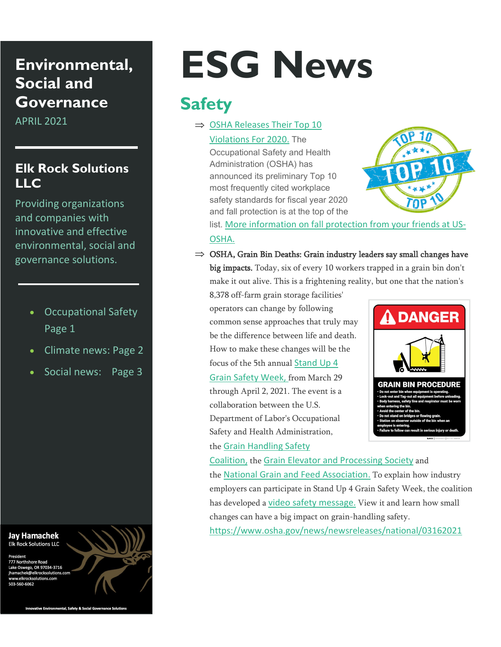# **Environmental, Social and Governance**

APRIL 2021

### **Elk Rock Solutions LLC**

Providing organizations and companies with innovative and effective environmental, social and governance solutions.

- Occupational Safety Page 1
- Climate news: Page 2
- Social news: Page 3

#### **Jay Hamachek** Elk Rock Solutions LLC

777 Northshore Road nsnore коаd<br>rego, OR 97034-3716 k@elkrocksolutions.com



# **ESG News**

# **Safety**

 $\Rightarrow$  OSHA Releases Their Top 10 [Violations For 2020.](https://www.nsc.org/newsroom/osha-reveals-top-10-violations-for-fiscal-year-202%20&) The

Occupational Safety and Health Administration (OSHA) has announced its preliminary Top 10 most frequently cited workplace safety standards for fiscal year 2020 and fall protection is at the top of the



list. [More information on fall protection from your friends at US-](https://www.osha.gov/sites/default/files/publications/OSHAHB3731.pdf)[OSHA.](https://www.osha.gov/sites/default/files/publications/OSHAHB3731.pdf)

⇒ OSHA, Grain Bin Deaths: Grain industry leaders say small changes have big impacts. Today, six of every 10 workers trapped in a grain bin don't make it out alive. This is a frightening reality, but one that the nation's

8,378 off-farm grain storage facilities' operators can change by following common sense approaches that truly may be the difference between life and death. How to make these changes will be the focus of the 5th annual [Stand Up 4](https://standup4grainsafety.org/)  [Grain Safety Week,](https://standup4grainsafety.org/) from March 29 through April 2, 2021. The event is a collaboration between the U.S. Department of Labor's Occupational Safety and Health Administration,



the [Grain Handling Safety](https://grainsafety.org/) 

[Coalition,](https://grainsafety.org/) the [Grain Elevator and Processing Society](https://www.geaps.com/) and the [National Grain and Feed Association.](https://www.ngfa.org/) To explain how industry employers can participate in Stand Up 4 Grain Safety Week, the coalition has developed a [video safety message.](https://standup4grainsafety.org/) View it and learn how small changes can have a big impact on grain-handling safety. <https://www.osha.gov/news/newsreleases/national/03162021>

tive Environmental, Safety & Social Gover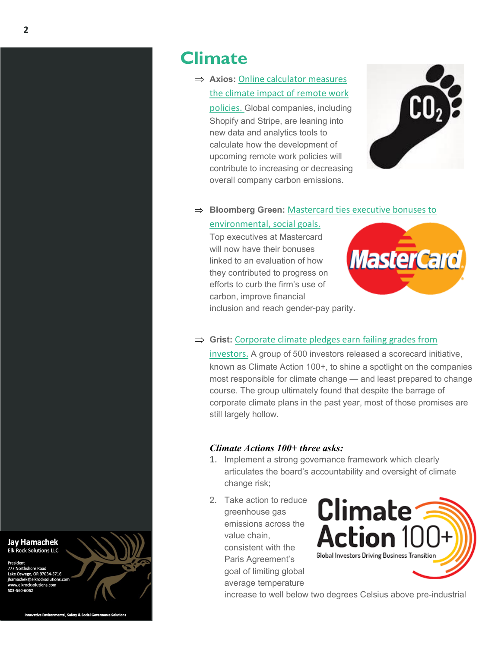# **Climate**

⇒ **Axios:** [Online calculator measures](https://nam02.safelinks.protection.outlook.com/?url=https%3A%2F%2Fwaggeneredstrom.cmail19.com%2Ft%2Fr-l-tlwvjd-otuurkkdtt-jt%2F&data=04%7C01%7Ckhamachek%40we-worldwide.com%7C0181c33cbf0549e4011c08d8f0a6c3bb%7C3ed60ab455674971a5341a5f0f7cc7f5%7C0%7C0%7C637523946356774802%7CUnknown%7CTWFpbGZsb3d8eyJWIjoiMC4wLjAwMDAiLCJQIjoiV2luMzIiLCJBTiI6Ik1haWwiLCJXVCI6Mn0%3D%7C1000&sdata=ys6JNxba4ItEsers3GcAEOuDrAJHwivssXHdry1SRAo%3D&reserved=0)  [the climate impact of remote work](https://nam02.safelinks.protection.outlook.com/?url=https%3A%2F%2Fwaggeneredstrom.cmail19.com%2Ft%2Fr-l-tlwvjd-otuurkkdtt-jt%2F&data=04%7C01%7Ckhamachek%40we-worldwide.com%7C0181c33cbf0549e4011c08d8f0a6c3bb%7C3ed60ab455674971a5341a5f0f7cc7f5%7C0%7C0%7C637523946356774802%7CUnknown%7CTWFpbGZsb3d8eyJWIjoiMC4wLjAwMDAiLCJQIjoiV2luMzIiLCJBTiI6Ik1haWwiLCJXVCI6Mn0%3D%7C1000&sdata=ys6JNxba4ItEsers3GcAEOuDrAJHwivssXHdry1SRAo%3D&reserved=0)  [policies.](https://nam02.safelinks.protection.outlook.com/?url=https%3A%2F%2Fwaggeneredstrom.cmail19.com%2Ft%2Fr-l-tlwvjd-otuurkkdtt-jt%2F&data=04%7C01%7Ckhamachek%40we-worldwide.com%7C0181c33cbf0549e4011c08d8f0a6c3bb%7C3ed60ab455674971a5341a5f0f7cc7f5%7C0%7C0%7C637523946356774802%7CUnknown%7CTWFpbGZsb3d8eyJWIjoiMC4wLjAwMDAiLCJQIjoiV2luMzIiLCJBTiI6Ik1haWwiLCJXVCI6Mn0%3D%7C1000&sdata=ys6JNxba4ItEsers3GcAEOuDrAJHwivssXHdry1SRAo%3D&reserved=0) Global companies, including Shopify and Stripe, are leaning into new data and analytics tools to calculate how the development of upcoming remote work policies will contribute to increasing or decreasing overall company carbon emissions.



#### ⇒ **Bloomberg Green:** [Mastercard ties executive bonuses to](https://nam02.safelinks.protection.outlook.com/?url=https%3A%2F%2Fwaggeneredstrom.cmail19.com%2Ft%2Fr-l-tlwvjd-otuurkkdtt-ji%2F&data=04%7C01%7Ckhamachek%40we-worldwide.com%7C0181c33cbf0549e4011c08d8f0a6c3bb%7C3ed60ab455674971a5341a5f0f7cc7f5%7C0%7C0%7C637523946356784796%7CUnknown%7CTWFpbGZsb3d8eyJWIjoiMC4wLjAwMDAiLCJQIjoiV2luMzIiLCJBTiI6Ik1haWwiLCJXVCI6Mn0%3D%7C1000&sdata=%2BCPbK97NtdY9cBfa7gJDlk84ym%2B4%2FiIOi3TzPPXQGuM%3D&reserved=0)

#### [environmental, social goals.](https://nam02.safelinks.protection.outlook.com/?url=https%3A%2F%2Fwaggeneredstrom.cmail19.com%2Ft%2Fr-l-tlwvjd-otuurkkdtt-ji%2F&data=04%7C01%7Ckhamachek%40we-worldwide.com%7C0181c33cbf0549e4011c08d8f0a6c3bb%7C3ed60ab455674971a5341a5f0f7cc7f5%7C0%7C0%7C637523946356784796%7CUnknown%7CTWFpbGZsb3d8eyJWIjoiMC4wLjAwMDAiLCJQIjoiV2luMzIiLCJBTiI6Ik1haWwiLCJXVCI6Mn0%3D%7C1000&sdata=%2BCPbK97NtdY9cBfa7gJDlk84ym%2B4%2FiIOi3TzPPXQGuM%3D&reserved=0)

Top executives at Mastercard will now have their bonuses linked to an evaluation of how they contributed to progress on efforts to curb the firm's use of carbon, improve financial inclusion and reach gender-pay parity.



#### ⇒ **Grist:** [Corporate climate pledges earn failing grades from](https://nam02.safelinks.protection.outlook.com/?url=https%3A%2F%2Fwaggeneredstrom.cmail19.com%2Ft%2Fr-l-tlwvjd-otuurkkdtt-jh%2F&data=04%7C01%7Ckhamachek%40we-worldwide.com%7C0181c33cbf0549e4011c08d8f0a6c3bb%7C3ed60ab455674971a5341a5f0f7cc7f5%7C0%7C0%7C637523946356794788%7CUnknown%7CTWFpbGZsb3d8eyJWIjoiMC4wLjAwMDAiLCJQIjoiV2luMzIiLCJBTiI6Ik1haWwiLCJXVCI6Mn0%3D%7C1000&sdata=1JphWlkVg7vhlYS%2B%2FgoIX3lSamfhrDLjKee68g%2Brmds%3D&reserved=0)

[investors.](https://nam02.safelinks.protection.outlook.com/?url=https%3A%2F%2Fwaggeneredstrom.cmail19.com%2Ft%2Fr-l-tlwvjd-otuurkkdtt-jh%2F&data=04%7C01%7Ckhamachek%40we-worldwide.com%7C0181c33cbf0549e4011c08d8f0a6c3bb%7C3ed60ab455674971a5341a5f0f7cc7f5%7C0%7C0%7C637523946356794788%7CUnknown%7CTWFpbGZsb3d8eyJWIjoiMC4wLjAwMDAiLCJQIjoiV2luMzIiLCJBTiI6Ik1haWwiLCJXVCI6Mn0%3D%7C1000&sdata=1JphWlkVg7vhlYS%2B%2FgoIX3lSamfhrDLjKee68g%2Brmds%3D&reserved=0) A group of 500 investors released a scorecard initiative, known as Climate Action 100+, to shine a spotlight on the companies most responsible for climate change — and least prepared to change course. The group ultimately found that despite the barrage of corporate climate plans in the past year, most of those promises are still largely hollow.

#### *Climate Actions 100+ three asks:*

- 1. Implement a strong governance framework which clearly articulates the board's accountability and oversight of climate change risk;
- 2. Take action to reduce greenhouse gas emissions across the value chain, consistent with the Paris Agreement's goal of limiting global average temperature



increase to well below two degrees Celsius above pre-industrial

**Jay Hamachek** Elk Rock Solutions LLC

ego. OR 97034-3716

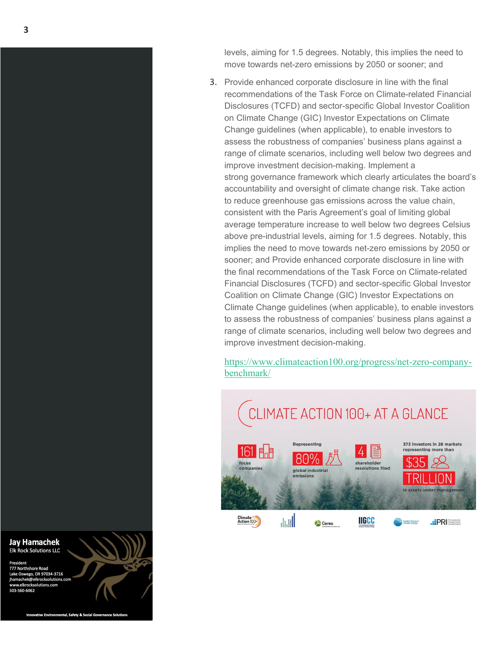levels, aiming for 1.5 degrees. Notably, this implies the need to move towards net -zero emissions by 2050 or sooner; and

3. Provide enhanced corporate disclosure in line with the [final](https://www.fsb-tcfd.org/wp-content/uploads/2017/06/FINAL-TCFD-Annex-062817.pdf)  [recommendations of the Task Force on Climate](https://www.fsb-tcfd.org/wp-content/uploads/2017/06/FINAL-TCFD-Annex-062817.pdf) -related Financial [Disclosures \(TCFD\)](https://www.fsb-tcfd.org/wp-content/uploads/2017/06/FINAL-TCFD-Annex-062817.pdf) and sector [-specific Global Investor Coalition](https://globalinvestorcoalition.org/)  [on Climate Change \(GIC\) Investor Expectations on Climate](https://globalinvestorcoalition.org/)  [Change guidelines](https://globalinvestorcoalition.org/) (when applicable), to enable investors to assess the robustness of companies' business plans against a range of climate scenarios, including well below two degrees and improve investment decision -making. Implement a strong governance framework which clearly articulates the board's accountability and oversight of climate change risk . Take action to reduce greenhouse gas emissions across the value chain, consistent with the Paris Agreement's goal of limiting global average temperature increase to well below two degrees Celsius above pre -industrial levels, aiming for 1.5 degrees. Notably, this implies the need to move towards net -zero emissions by 2050 or sooner; and Provide enhanced corporate disclosure in line with the [final recommendations of the Task Force on Climate](https://www.fsb-tcfd.org/wp-content/uploads/2017/06/FINAL-TCFD-Annex-062817.pdf) -related [Financial Disclosures \(TCFD\)](https://www.fsb-tcfd.org/wp-content/uploads/2017/06/FINAL-TCFD-Annex-062817.pdf) and sector [-specific Global Investor](https://globalinvestorcoalition.org/)  [Coalition on Climate Change \(GIC\) Investor Expectations on](https://globalinvestorcoalition.org/)  [Climate Change guidelines](https://globalinvestorcoalition.org/) (when applicable), to enable investors to assess the robustness of companies' business plans against a range of climate scenarios, including well below two degrees and improve investment decision -making.

[https://www.climateaction100.org/progress/net](https://www.climateaction100.org/progress/net-zero-company-benchmark/)-zero-company[benchmark/](https://www.climateaction100.org/progress/net-zero-company-benchmark/)



**Jay Hamachek Elk Rock Solutions LLC** 

777 Northshore Road Lake Oswego, OR 97034-3716 ihamachek@elkrocksolutions.com 503-560-6062